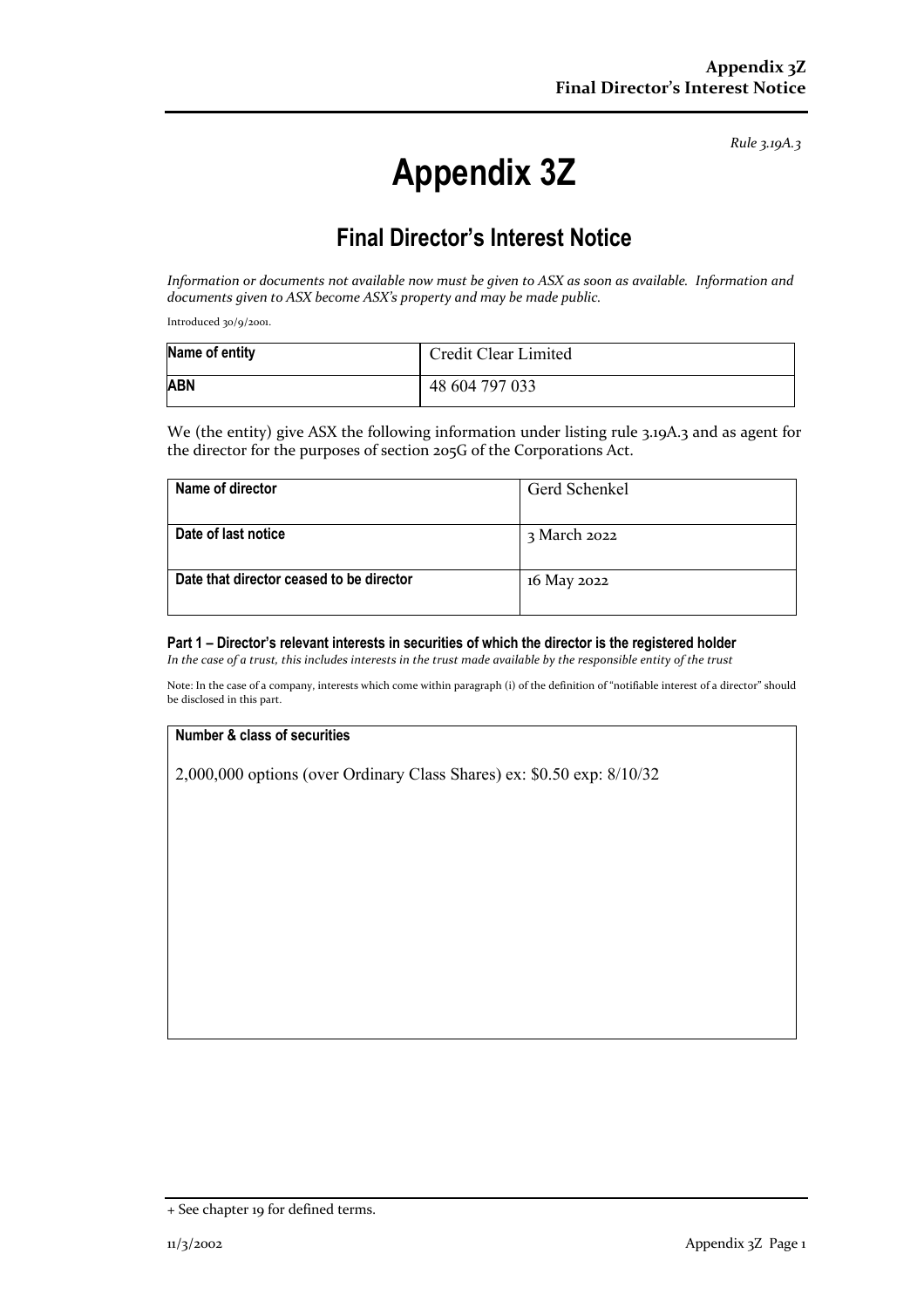*Rule 3.19A.3*

# **Appendix 3Z**

## **Final Director's Interest Notice**

*Information or documents not available now must be given to ASX as soon as available. Information and documents given to ASX become ASX's property and may be made public.*

Introduced 30/9/2001.

| Name of entity | Credit Clear Limited |
|----------------|----------------------|
| <b>ABN</b>     | 48 604 797 033       |

We (the entity) give ASX the following information under listing rule 3.19A.3 and as agent for the director for the purposes of section 205G of the Corporations Act.

| Name of director                         | Gerd Schenkel |
|------------------------------------------|---------------|
|                                          |               |
| Date of last notice                      | 3 March 2022  |
|                                          |               |
| Date that director ceased to be director | 16 May 2022   |
|                                          |               |

#### **Part 1 – Director's relevant interests in securities of which the director is the registered holder**

*In the case of a trust, this includes interests in the trust made available by the responsible entity of the trust*

Note: In the case of a company, interests which come within paragraph (i) of the definition of "notifiable interest of a director" should be disclosed in this part.

#### **Number & class of securities**

2,000,000 options (over Ordinary Class Shares) ex: \$0.50 exp: 8/10/32

<sup>+</sup> See chapter 19 for defined terms.